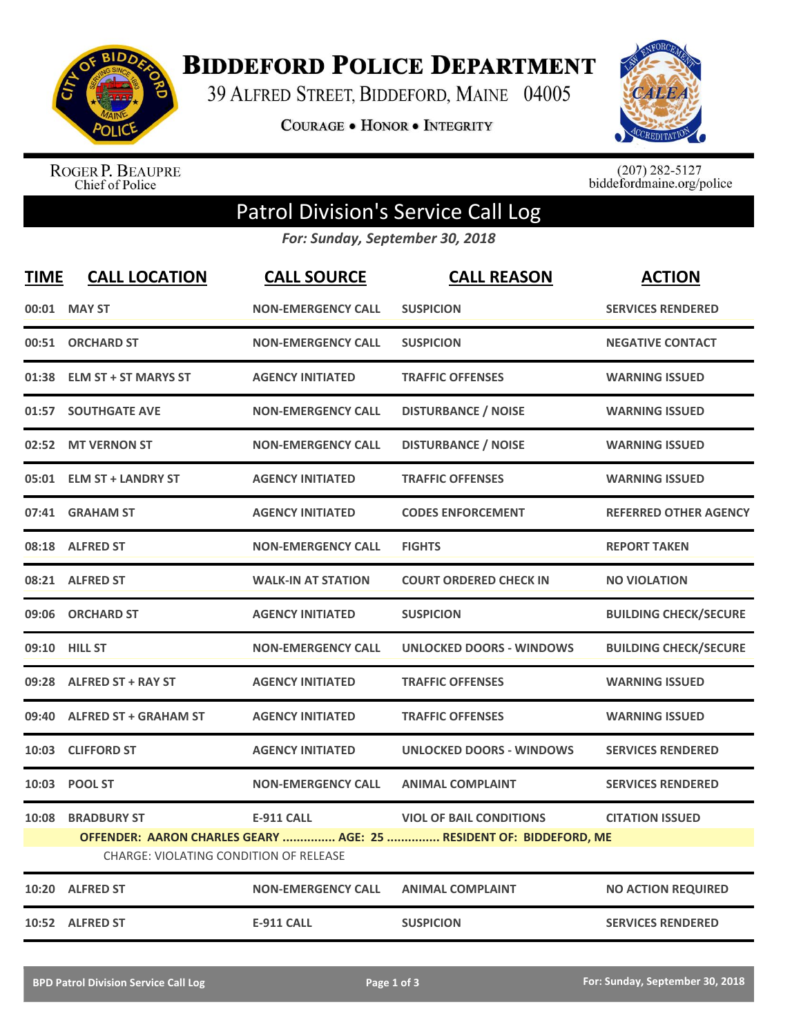

**BIDDEFORD POLICE DEPARTMENT** 

39 ALFRED STREET, BIDDEFORD, MAINE 04005

**COURAGE . HONOR . INTEGRITY** 



ROGER P. BEAUPRE<br>Chief of Police

 $(207)$  282-5127<br>biddefordmaine.org/police

## Patrol Division's Service Call Log

*For: Sunday, September 30, 2018*

| <b>TIME</b> | <b>CALL LOCATION</b>                   | <b>CALL SOURCE</b>        | <b>CALL REASON</b>                                                 | <b>ACTION</b>                |
|-------------|----------------------------------------|---------------------------|--------------------------------------------------------------------|------------------------------|
|             | 00:01 MAY ST                           | <b>NON-EMERGENCY CALL</b> | <b>SUSPICION</b>                                                   | <b>SERVICES RENDERED</b>     |
| 00:51       | <b>ORCHARD ST</b>                      | <b>NON-EMERGENCY CALL</b> | <b>SUSPICION</b>                                                   | <b>NEGATIVE CONTACT</b>      |
| 01:38       | <b>ELM ST + ST MARYS ST</b>            | <b>AGENCY INITIATED</b>   | <b>TRAFFIC OFFENSES</b>                                            | <b>WARNING ISSUED</b>        |
| 01:57       | <b>SOUTHGATE AVE</b>                   | <b>NON-EMERGENCY CALL</b> | <b>DISTURBANCE / NOISE</b>                                         | <b>WARNING ISSUED</b>        |
| 02:52       | <b>MT VERNON ST</b>                    | <b>NON-EMERGENCY CALL</b> | <b>DISTURBANCE / NOISE</b>                                         | <b>WARNING ISSUED</b>        |
|             | 05:01 ELM ST + LANDRY ST               | <b>AGENCY INITIATED</b>   | <b>TRAFFIC OFFENSES</b>                                            | <b>WARNING ISSUED</b>        |
| 07:41       | <b>GRAHAM ST</b>                       | <b>AGENCY INITIATED</b>   | <b>CODES ENFORCEMENT</b>                                           | <b>REFERRED OTHER AGENCY</b> |
|             | 08:18 ALFRED ST                        | <b>NON-EMERGENCY CALL</b> | <b>FIGHTS</b>                                                      | <b>REPORT TAKEN</b>          |
|             | 08:21 ALFRED ST                        | <b>WALK-IN AT STATION</b> | <b>COURT ORDERED CHECK IN</b>                                      | <b>NO VIOLATION</b>          |
| 09:06       | <b>ORCHARD ST</b>                      | <b>AGENCY INITIATED</b>   | <b>SUSPICION</b>                                                   | <b>BUILDING CHECK/SECURE</b> |
|             | 09:10 HILL ST                          | <b>NON-EMERGENCY CALL</b> | <b>UNLOCKED DOORS - WINDOWS</b>                                    | <b>BUILDING CHECK/SECURE</b> |
|             | 09:28 ALFRED ST + RAY ST               | <b>AGENCY INITIATED</b>   | <b>TRAFFIC OFFENSES</b>                                            | <b>WARNING ISSUED</b>        |
| 09:40       | <b>ALFRED ST + GRAHAM ST</b>           | <b>AGENCY INITIATED</b>   | <b>TRAFFIC OFFENSES</b>                                            | <b>WARNING ISSUED</b>        |
| 10:03       | <b>CLIFFORD ST</b>                     | <b>AGENCY INITIATED</b>   | <b>UNLOCKED DOORS - WINDOWS</b>                                    | <b>SERVICES RENDERED</b>     |
| 10:03       | <b>POOL ST</b>                         | <b>NON-EMERGENCY CALL</b> | <b>ANIMAL COMPLAINT</b>                                            | <b>SERVICES RENDERED</b>     |
| 10:08       | <b>BRADBURY ST</b>                     | <b>E-911 CALL</b>         | <b>VIOL OF BAIL CONDITIONS</b>                                     | <b>CITATION ISSUED</b>       |
|             | CHARGE: VIOLATING CONDITION OF RELEASE |                           | OFFENDER: AARON CHARLES GEARY  AGE: 25  RESIDENT OF: BIDDEFORD, ME |                              |
| 10:20       | <b>ALFRED ST</b>                       | <b>NON-EMERGENCY CALL</b> | <b>ANIMAL COMPLAINT</b>                                            | <b>NO ACTION REQUIRED</b>    |
|             | 10:52 ALFRED ST                        | <b>E-911 CALL</b>         | <b>SUSPICION</b>                                                   | <b>SERVICES RENDERED</b>     |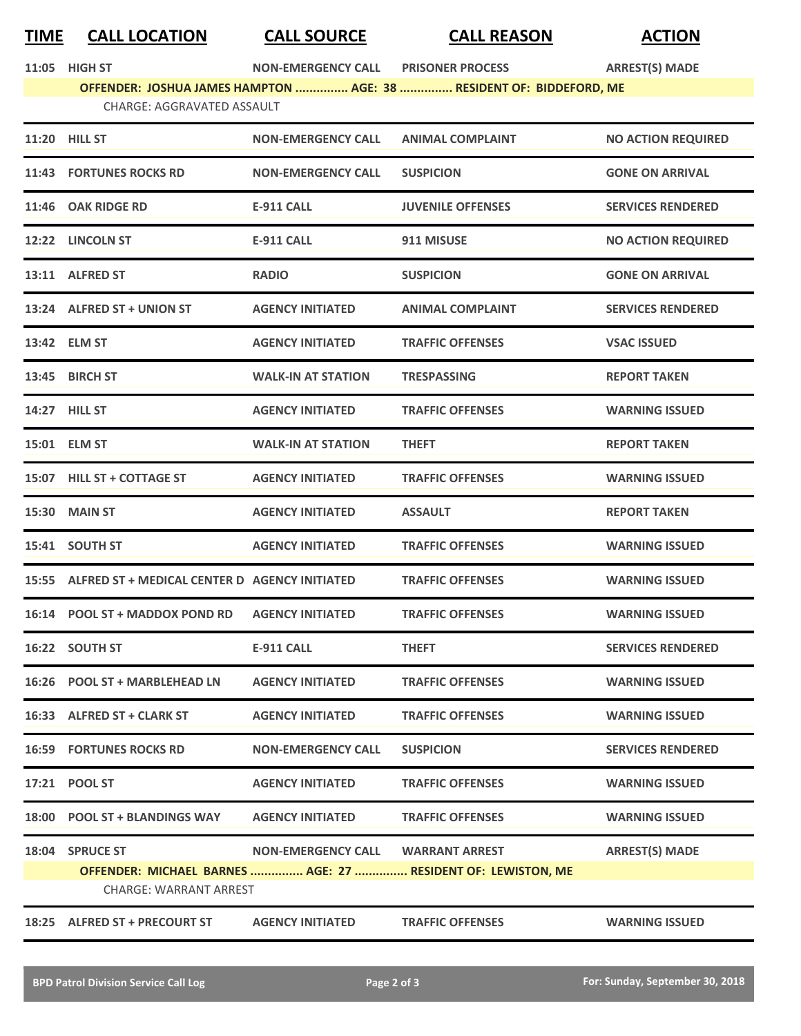## **TIME CALL LOCATION CALL SOURCE CALL REASON ACTION**

|  | 11:05 | <b>HIGH ST</b> |
|--|-------|----------------|
|--|-------|----------------|

**11:05 11:05 HIGH STATE STATE STATE STATE STATE STATE STATE STATE STATE STATE STATE STATE STATE STATE STATE STATE STATE STATE STATE STATE STATE STATE STATE STATE STATE STATE STATE STATE STATE STATE STATE STATE STATE ST** 

**OFFENDER: JOSHUA JAMES HAMPTON ............... AGE: 38 ............... RESIDENT OF: BIDDEFORD, ME** CHARGE: AGGRAVATED ASSAULT

|                               | 11:20 HILL ST                                       | <b>NON-EMERGENCY CALL</b> | <b>ANIMAL COMPLAINT</b>                                      | <b>NO ACTION REQUIRED</b> |
|-------------------------------|-----------------------------------------------------|---------------------------|--------------------------------------------------------------|---------------------------|
|                               | 11:43 FORTUNES ROCKS RD                             | <b>NON-EMERGENCY CALL</b> | <b>SUSPICION</b>                                             | <b>GONE ON ARRIVAL</b>    |
|                               | 11:46 OAK RIDGE RD                                  | <b>E-911 CALL</b>         | <b>JUVENILE OFFENSES</b>                                     | <b>SERVICES RENDERED</b>  |
|                               | 12:22 LINCOLN ST                                    | <b>E-911 CALL</b>         | 911 MISUSE                                                   | <b>NO ACTION REQUIRED</b> |
|                               | 13:11 ALFRED ST                                     | <b>RADIO</b>              | <b>SUSPICION</b>                                             | <b>GONE ON ARRIVAL</b>    |
|                               | 13:24 ALFRED ST + UNION ST                          | <b>AGENCY INITIATED</b>   | <b>ANIMAL COMPLAINT</b>                                      | <b>SERVICES RENDERED</b>  |
|                               | 13:42 ELM ST                                        | <b>AGENCY INITIATED</b>   | <b>TRAFFIC OFFENSES</b>                                      | <b>VSAC ISSUED</b>        |
|                               | 13:45 BIRCH ST                                      | <b>WALK-IN AT STATION</b> | <b>TRESPASSING</b>                                           | <b>REPORT TAKEN</b>       |
|                               | 14:27 HILL ST                                       | <b>AGENCY INITIATED</b>   | <b>TRAFFIC OFFENSES</b>                                      | <b>WARNING ISSUED</b>     |
|                               | 15:01 ELM ST                                        | <b>WALK-IN AT STATION</b> | <b>THEFT</b>                                                 | <b>REPORT TAKEN</b>       |
|                               | 15:07 HILL ST + COTTAGE ST                          | <b>AGENCY INITIATED</b>   | <b>TRAFFIC OFFENSES</b>                                      | <b>WARNING ISSUED</b>     |
|                               | <b>15:30 MAIN ST</b>                                | <b>AGENCY INITIATED</b>   | <b>ASSAULT</b>                                               | <b>REPORT TAKEN</b>       |
|                               | 15:41 SOUTH ST                                      | <b>AGENCY INITIATED</b>   | <b>TRAFFIC OFFENSES</b>                                      | <b>WARNING ISSUED</b>     |
|                               | 15:55 ALFRED ST + MEDICAL CENTER D AGENCY INITIATED |                           | <b>TRAFFIC OFFENSES</b>                                      | <b>WARNING ISSUED</b>     |
|                               | 16:14 POOL ST + MADDOX POND RD                      | <b>AGENCY INITIATED</b>   | <b>TRAFFIC OFFENSES</b>                                      | <b>WARNING ISSUED</b>     |
|                               | 16:22 SOUTH ST                                      | <b>E-911 CALL</b>         | <b>THEFT</b>                                                 | <b>SERVICES RENDERED</b>  |
|                               | 16:26 POOL ST + MARBLEHEAD LN                       | <b>AGENCY INITIATED</b>   | <b>TRAFFIC OFFENSES</b>                                      | <b>WARNING ISSUED</b>     |
|                               | 16:33 ALFRED ST + CLARK ST                          | <b>AGENCY INITIATED</b>   | <b>TRAFFIC OFFENSES</b>                                      | <b>WARNING ISSUED</b>     |
|                               | <b>16:59 FORTUNES ROCKS RD</b>                      | <b>NON-EMERGENCY CALL</b> | <b>SUSPICION</b>                                             | <b>SERVICES RENDERED</b>  |
|                               | 17:21 POOL ST                                       | <b>AGENCY INITIATED</b>   | <b>TRAFFIC OFFENSES</b>                                      | <b>WARNING ISSUED</b>     |
|                               | 18:00 POOL ST + BLANDINGS WAY                       | <b>AGENCY INITIATED</b>   | <b>TRAFFIC OFFENSES</b>                                      | <b>WARNING ISSUED</b>     |
|                               | 18:04 SPRUCE ST                                     | <b>NON-EMERGENCY CALL</b> | <b>WARRANT ARREST</b>                                        | <b>ARREST(S) MADE</b>     |
|                               | <b>CHARGE: WARRANT ARREST</b>                       |                           | OFFENDER: MICHAEL BARNES  AGE: 27  RESIDENT OF: LEWISTON, ME |                           |
| 18:25 ALFRED ST + PRECOURT ST |                                                     |                           |                                                              |                           |